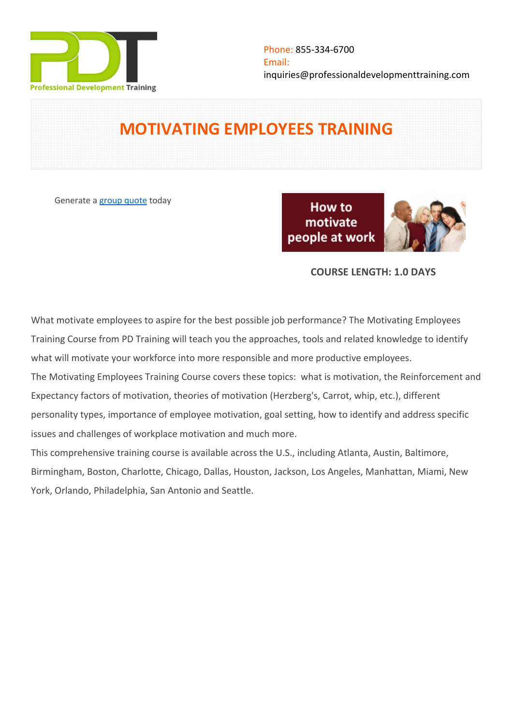

# **MOTIVATING EMPLOYEES TRAINING**

Generate a [group quote](https://professionaldevelopmenttraining.com/inhouse-training-quote?cse=PDT0016) today

How to motivate people at work



# **COURSE LENGTH: 1.0 DAYS**

What motivate employees to aspire for the best possible job performance? The Motivating Employees Training Course from PD Training will teach you the approaches, tools and related knowledge to identify what will motivate your workforce into more responsible and more productive employees. The Motivating Employees Training Course covers these topics: what is motivation, the Reinforcement and Expectancy factors of motivation, theories of motivation (Herzberg's, Carrot, whip, etc.), different personality types, importance of employee motivation, goal setting, how to identify and address specific issues and challenges of workplace motivation and much more.

This comprehensive training course is available across the U.S., including Atlanta, Austin, Baltimore, Birmingham, Boston, Charlotte, Chicago, Dallas, Houston, Jackson, Los Angeles, Manhattan, Miami, New York, Orlando, Philadelphia, San Antonio and Seattle.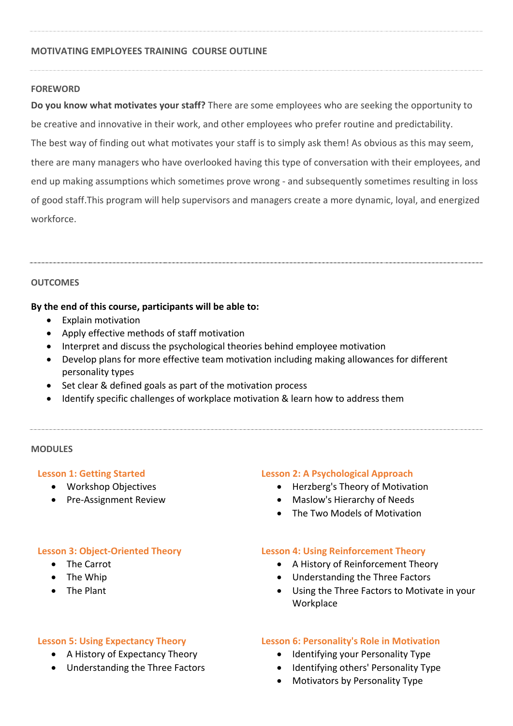## **MOTIVATING EMPLOYEES TRAINING COURSE OUTLINE**

## **FOREWORD**

**Do you know what motivates your staff?** There are some employees who are seeking the opportunity to be creative and innovative in their work, and other employees who prefer routine and predictability. The best way of finding out what motivates your staff is to simply ask them! As obvious as this may seem, there are many managers who have overlooked having this type of conversation with their employees, and end up making assumptions which sometimes prove wrong - and subsequently sometimes resulting in loss of good staff.This program will help supervisors and managers create a more dynamic, loyal, and energized workforce.

## **OUTCOMES**

## **By the end of this course, participants will be able to:**

- Explain motivation
- Apply effective methods of staff motivation
- Interpret and discuss the psychological theories behind employee motivation
- Develop plans for more effective team motivation including making allowances for different personality types
- Set clear & defined goals as part of the motivation process
- Identify specific challenges of workplace motivation & learn how to address them

## **MODULES**

## **Lesson 1: Getting Started**

- Workshop Objectives
- Pre-Assignment Review

## **Lesson 2: A Psychological Approach**

- Herzberg's Theory of Motivation
- Maslow's Hierarchy of Needs
- The Two Models of Motivation

## **Lesson 3: Object-Oriented Theory**

- The Carrot
- The Whip
- The Plant

## **Lesson 5: Using Expectancy Theory**

- A History of Expectancy Theory
- Understanding the Three Factors

## **Lesson 4: Using Reinforcement Theory**

- A History of Reinforcement Theory
- Understanding the Three Factors
- Using the Three Factors to Motivate in your **Workplace**

## **Lesson 6: Personality's Role in Motivation**

- Identifying your Personality Type
- Identifying others' Personality Type
- Motivators by Personality Type